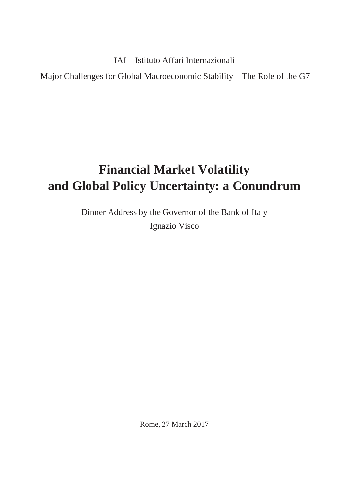IAI – Istituto Affari Internazionali

Major Challenges for Global Macroeconomic Stability – The Role of the G7

## **Financial Market Volatility and Global Policy Uncertainty: a Conundrum**

Dinner Address by the Governor of the Bank of Italy Ignazio Visco

Rome, 27 March 2017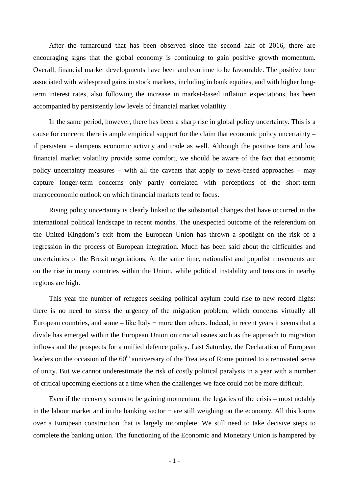After the turnaround that has been observed since the second half of 2016, there are encouraging signs that the global economy is continuing to gain positive growth momentum. Overall, financial market developments have been and continue to be favourable. The positive tone associated with widespread gains in stock markets, including in bank equities, and with higher longterm interest rates, also following the increase in market-based inflation expectations, has been accompanied by persistently low levels of financial market volatility.

In the same period, however, there has been a sharp rise in global policy uncertainty. This is a cause for concern: there is ample empirical support for the claim that economic policy uncertainty – if persistent – dampens economic activity and trade as well. Although the positive tone and low financial market volatility provide some comfort, we should be aware of the fact that economic policy uncertainty measures – with all the caveats that apply to news-based approaches – may capture longer-term concerns only partly correlated with perceptions of the short-term macroeconomic outlook on which financial markets tend to focus.

Rising policy uncertainty is clearly linked to the substantial changes that have occurred in the international political landscape in recent months. The unexpected outcome of the referendum on the United Kingdom's exit from the European Union has thrown a spotlight on the risk of a regression in the process of European integration. Much has been said about the difficulties and uncertainties of the Brexit negotiations. At the same time, nationalist and populist movements are on the rise in many countries within the Union, while political instability and tensions in nearby regions are high.

This year the number of refugees seeking political asylum could rise to new record highs: there is no need to stress the urgency of the migration problem, which concerns virtually all European countries, and some – like Italy − more than others. Indeed, in recent years it seems that a divide has emerged within the European Union on crucial issues such as the approach to migration inflows and the prospects for a unified defence policy. Last Saturday, the Declaration of European leaders on the occasion of the 60<sup>th</sup> anniversary of the Treaties of Rome pointed to a renovated sense of unity. But we cannot underestimate the risk of costly political paralysis in a year with a number of critical upcoming elections at a time when the challenges we face could not be more difficult.

Even if the recovery seems to be gaining momentum, the legacies of the crisis – most notably in the labour market and in the banking sector − are still weighing on the economy. All this looms over a European construction that is largely incomplete. We still need to take decisive steps to complete the banking union. The functioning of the Economic and Monetary Union is hampered by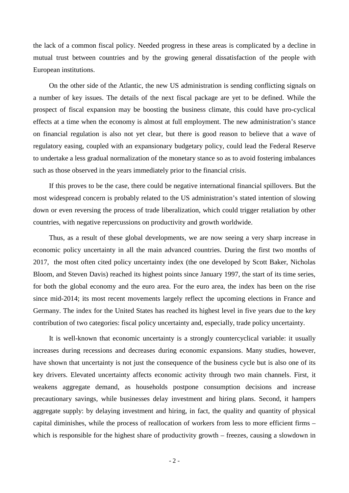the lack of a common fiscal policy. Needed progress in these areas is complicated by a decline in mutual trust between countries and by the growing general dissatisfaction of the people with European institutions.

On the other side of the Atlantic, the new US administration is sending conflicting signals on a number of key issues. The details of the next fiscal package are yet to be defined. While the prospect of fiscal expansion may be boosting the business climate, this could have pro-cyclical effects at a time when the economy is almost at full employment. The new administration's stance on financial regulation is also not yet clear, but there is good reason to believe that a wave of regulatory easing, coupled with an expansionary budgetary policy, could lead the Federal Reserve to undertake a less gradual normalization of the monetary stance so as to avoid fostering imbalances such as those observed in the years immediately prior to the financial crisis.

If this proves to be the case, there could be negative international financial spillovers. But the most widespread concern is probably related to the US administration's stated intention of slowing down or even reversing the process of trade liberalization, which could trigger retaliation by other countries, with negative repercussions on productivity and growth worldwide.

Thus, as a result of these global developments, we are now seeing a very sharp increase in economic policy uncertainty in all the main advanced countries. During the first two months of 2017, the most often cited policy uncertainty index (the one developed by Scott Baker, Nicholas Bloom, and Steven Davis) reached its highest points since January 1997, the start of its time series, for both the global economy and the euro area. For the euro area, the index has been on the rise since mid-2014; its most recent movements largely reflect the upcoming elections in France and Germany. The index for the United States has reached its highest level in five years due to the key contribution of two categories: fiscal policy uncertainty and, especially, trade policy uncertainty.

It is well-known that economic uncertainty is a strongly countercyclical variable: it usually increases during recessions and decreases during economic expansions. Many studies, however, have shown that uncertainty is not just the consequence of the business cycle but is also one of its key drivers. Elevated uncertainty affects economic activity through two main channels. First, it weakens aggregate demand, as households postpone consumption decisions and increase precautionary savings, while businesses delay investment and hiring plans. Second, it hampers aggregate supply: by delaying investment and hiring, in fact, the quality and quantity of physical capital diminishes, while the process of reallocation of workers from less to more efficient firms – which is responsible for the highest share of productivity growth – freezes, causing a slowdown in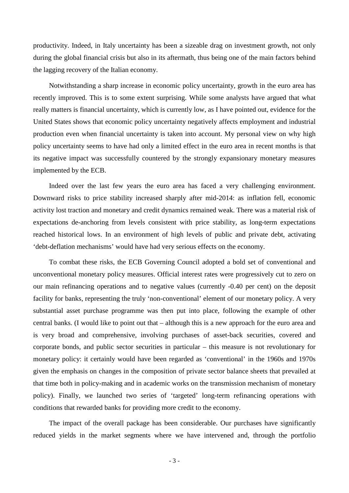productivity. Indeed, in Italy uncertainty has been a sizeable drag on investment growth, not only during the global financial crisis but also in its aftermath, thus being one of the main factors behind the lagging recovery of the Italian economy.

Notwithstanding a sharp increase in economic policy uncertainty, growth in the euro area has recently improved. This is to some extent surprising. While some analysts have argued that what really matters is financial uncertainty, which is currently low, as I have pointed out, evidence for the United States shows that economic policy uncertainty negatively affects employment and industrial production even when financial uncertainty is taken into account. My personal view on why high policy uncertainty seems to have had only a limited effect in the euro area in recent months is that its negative impact was successfully countered by the strongly expansionary monetary measures implemented by the ECB.

Indeed over the last few years the euro area has faced a very challenging environment. Downward risks to price stability increased sharply after mid-2014: as inflation fell, economic activity lost traction and monetary and credit dynamics remained weak. There was a material risk of expectations de-anchoring from levels consistent with price stability, as long-term expectations reached historical lows. In an environment of high levels of public and private debt, activating 'debt-deflation mechanisms' would have had very serious effects on the economy.

To combat these risks, the ECB Governing Council adopted a bold set of conventional and unconventional monetary policy measures. Official interest rates were progressively cut to zero on our main refinancing operations and to negative values (currently -0.40 per cent) on the deposit facility for banks, representing the truly 'non-conventional' element of our monetary policy. A very substantial asset purchase programme was then put into place, following the example of other central banks. (I would like to point out that – although this is a new approach for the euro area and is very broad and comprehensive, involving purchases of asset-back securities, covered and corporate bonds, and public sector securities in particular – this measure is not revolutionary for monetary policy: it certainly would have been regarded as 'conventional' in the 1960s and 1970s given the emphasis on changes in the composition of private sector balance sheets that prevailed at that time both in policy-making and in academic works on the transmission mechanism of monetary policy). Finally, we launched two series of 'targeted' long-term refinancing operations with conditions that rewarded banks for providing more credit to the economy.

The impact of the overall package has been considerable. Our purchases have significantly reduced yields in the market segments where we have intervened and, through the portfolio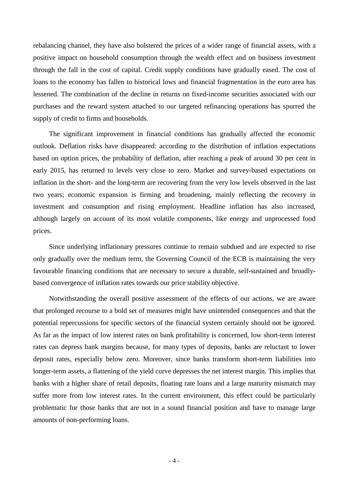rebalancing channel, they have also bolstered the prices of a wider range of financial assets, with a positive impact on household consumption through the wealth effect and on business investment through the fall in the cost of capital. Credit supply conditions have gradually eased. The cost of loans to the economy has fallen to historical lows and financial fragmentation in the euro area has lessened. The combination of the decline in returns on fixed-income securities associated with our purchases and the reward system attached to our targeted refinancing operations has spurred the supply of credit to firms and households.

The significant improvement in financial conditions has gradually affected the economic outlook. Deflation risks have disappeared: according to the distribution of inflation expectations based on option prices, the probability of deflation, after reaching a peak of around 30 per cent in early 2015, has returned to levels very close to zero. Market and survey-based expectations on inflation in the short- and the long-term are recovering from the very low levels observed in the last two years; economic expansion is firming and broadening, mainly reflecting the recovery in investment and consumption and rising employment. Headline inflation has also increased, although largely on account of its most volatile components, like energy and unprocessed food prices.

Since underlying inflationary pressures continue to remain subdued and are expected to rise only gradually over the medium term, the Governing Council of the ECB is maintaining the very favourable financing conditions that are necessary to secure a durable, self-sustained and broadlybased convergence of inflation rates towards our price stability objective.

Notwithstanding the overall positive assessment of the effects of our actions, we are aware that prolonged recourse to a bold set of measures might have unintended consequences and that the potential repercussions for specific sectors of the financial system certainly should not be ignored. As far as the impact of low interest rates on bank profitability is concerned, low short-term interest rates can depress bank margins because, for many types of deposits, banks are reluctant to lower deposit rates, especially below zero. Moreover, since banks transform short-term liabilities into longer-term assets, a flattening of the yield curve depresses the net interest margin. This implies that banks with a higher share of retail deposits, floating rate loans and a large maturity mismatch may suffer more from low interest rates. In the current environment, this effect could be particularly problematic for those banks that are not in a sound financial position and have to manage large amounts of non-performing loans.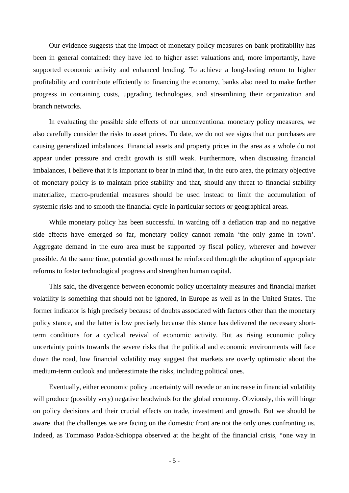Our evidence suggests that the impact of monetary policy measures on bank profitability has been in general contained: they have led to higher asset valuations and, more importantly, have supported economic activity and enhanced lending. To achieve a long-lasting return to higher profitability and contribute efficiently to financing the economy, banks also need to make further progress in containing costs, upgrading technologies, and streamlining their organization and branch networks.

In evaluating the possible side effects of our unconventional monetary policy measures, we also carefully consider the risks to asset prices. To date, we do not see signs that our purchases are causing generalized imbalances. Financial assets and property prices in the area as a whole do not appear under pressure and credit growth is still weak. Furthermore, when discussing financial imbalances, I believe that it is important to bear in mind that, in the euro area, the primary objective of monetary policy is to maintain price stability and that, should any threat to financial stability materialize, macro-prudential measures should be used instead to limit the accumulation of systemic risks and to smooth the financial cycle in particular sectors or geographical areas.

While monetary policy has been successful in warding off a deflation trap and no negative side effects have emerged so far, monetary policy cannot remain 'the only game in town'. Aggregate demand in the euro area must be supported by fiscal policy, wherever and however possible. At the same time, potential growth must be reinforced through the adoption of appropriate reforms to foster technological progress and strengthen human capital.

This said, the divergence between economic policy uncertainty measures and financial market volatility is something that should not be ignored, in Europe as well as in the United States. The former indicator is high precisely because of doubts associated with factors other than the monetary policy stance, and the latter is low precisely because this stance has delivered the necessary shortterm conditions for a cyclical revival of economic activity. But as rising economic policy uncertainty points towards the severe risks that the political and economic environments will face down the road, low financial volatility may suggest that markets are overly optimistic about the medium-term outlook and underestimate the risks, including political ones.

Eventually, either economic policy uncertainty will recede or an increase in financial volatility will produce (possibly very) negative headwinds for the global economy. Obviously, this will hinge on policy decisions and their crucial effects on trade, investment and growth. But we should be aware that the challenges we are facing on the domestic front are not the only ones confronting us. Indeed, as Tommaso Padoa-Schioppa observed at the height of the financial crisis, "one way in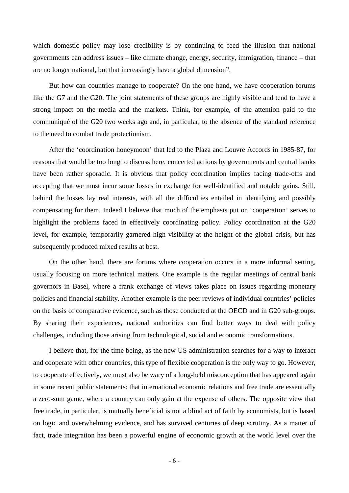which domestic policy may lose credibility is by continuing to feed the illusion that national governments can address issues – like climate change, energy, security, immigration, finance – that are no longer national, but that increasingly have a global dimension".

But how can countries manage to cooperate? On the one hand, we have cooperation forums like the G7 and the G20. The joint statements of these groups are highly visible and tend to have a strong impact on the media and the markets. Think, for example, of the attention paid to the communiqué of the G20 two weeks ago and, in particular, to the absence of the standard reference to the need to combat trade protectionism.

After the 'coordination honeymoon' that led to the Plaza and Louvre Accords in 1985-87, for reasons that would be too long to discuss here, concerted actions by governments and central banks have been rather sporadic. It is obvious that policy coordination implies facing trade-offs and accepting that we must incur some losses in exchange for well-identified and notable gains. Still, behind the losses lay real interests, with all the difficulties entailed in identifying and possibly compensating for them. Indeed I believe that much of the emphasis put on 'cooperation' serves to highlight the problems faced in effectively coordinating policy. Policy coordination at the G20 level, for example, temporarily garnered high visibility at the height of the global crisis, but has subsequently produced mixed results at best.

On the other hand, there are forums where cooperation occurs in a more informal setting, usually focusing on more technical matters. One example is the regular meetings of central bank governors in Basel, where a frank exchange of views takes place on issues regarding monetary policies and financial stability. Another example is the peer reviews of individual countries' policies on the basis of comparative evidence, such as those conducted at the OECD and in G20 sub-groups. By sharing their experiences, national authorities can find better ways to deal with policy challenges, including those arising from technological, social and economic transformations.

I believe that, for the time being, as the new US administration searches for a way to interact and cooperate with other countries, this type of flexible cooperation is the only way to go. However, to cooperate effectively, we must also be wary of a long-held misconception that has appeared again in some recent public statements: that international economic relations and free trade are essentially a zero-sum game, where a country can only gain at the expense of others. The opposite view that free trade, in particular, is mutually beneficial is not a blind act of faith by economists, but is based on logic and overwhelming evidence, and has survived centuries of deep scrutiny. As a matter of fact, trade integration has been a powerful engine of economic growth at the world level over the